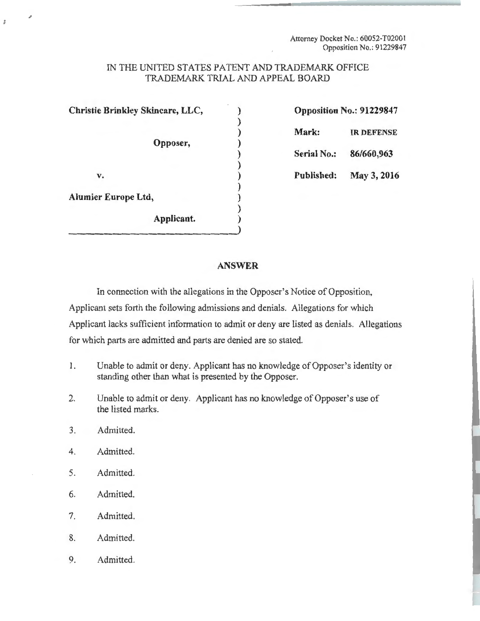Attorney Docket No.: 60052-T02001 Opposition No.: 91229847

## IN THE UNITED STATES PATENT AND TRADEMARK OFFICE TRADEMARK TRIAL AND APPEAL BOARD

)

)

)

)

**Christie Brinkley Skincare, LLC,** ) **Opposition No.: 91229847** 

**Opposer,** )

) **Mark: IR DEFENSE**  ) **Serial** No.: **86/660,963** 

**v.** ) **Published: May 3, 2016** 

 $\bar{x}$ 

**Alumier Europe Ltd,** )

**Applicant.** )

## **ANSWER**

In connection with the allegations in the Opposer's Notice of Opposition, Applicant sets forth the following admissions and denials. Allegations for which Applicant lacks sufficient information to admit or deny are listed as denials. Allegations for which parts are admitted and parts are denied are so stated.

- I. Unable to admit or deny. Applicant has no knowledge of Opposer's identity or standing other than what is presented by the Opposer.
- 2. Unable to admit or deny. Applicant has no knowledge of Opposer's use of the listed marks.
- 3. Admitted.
- 4. Admitted.
- 5. Admitted.
- 6. Admitted.
- 7. Admitted.
- 8. Admitted.
- 9. Admitted.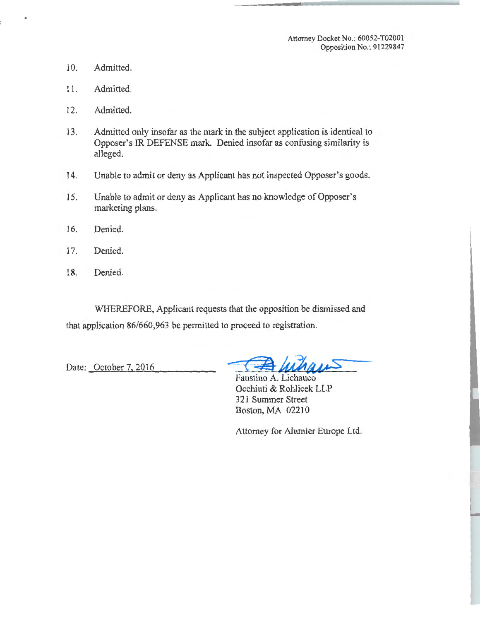Attorney Docket No.: 60052-T02001 Opposition No.: 91229847

- 10. Admitted.
- 11. Admitted.
- 12. Admitted.
- 13. Admitted only insofar as the mark in the subject application is identical to Opposer's IR DEFENSE mark. Denied insofar as confusing similarity is alleged.
- 14. Unable to admit or deny as Applicant has not inspected Opposer's goods.
- 15. Unable to admit or deny as Applicant has no knowledge of Opposer's marketing plans.
- 16. Denied.
- 17. Denied.
- 18. Denied.

WHEREFORE, Applicant requests that the opposition be dismissed and that application 86/660,963 be permitted to proceed to registration.

Date: October 7, 2016

Faustino A. Lichauco Occhiuti & Rohlicek LLP 321 Summer Street Boston, MA 02210

Attorney for Alumier Europe Ltd.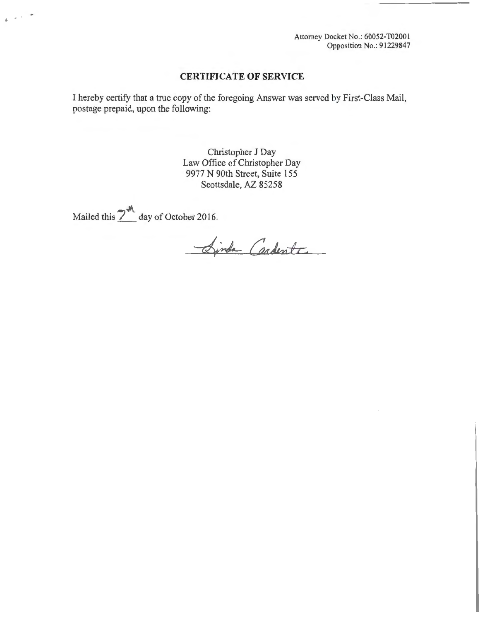Attorney Docket No.: 60052-T02001 Opposition No.: 91229847

## **CERTIFICATE OF SERVICE**

I hereby certify that a true copy of the foregoing Answer was served by First-Class Mail, postage prepaid, upon the following:

> Christopher J Day Law Office of Christopher Day 9977 N 90th Street, Suite 155 Scottsdale, AZ 85258

Mailed this  $2^{M}$  day of October 2016.

 $\alpha$  ,  $\alpha$  ,  $\alpha$ 

Sinda Cardente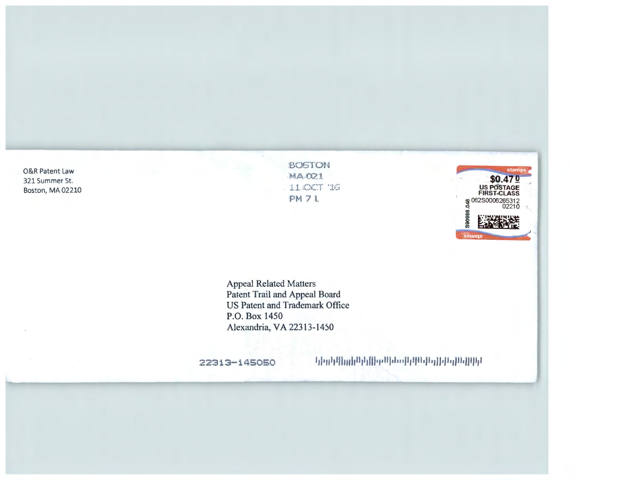O&R Patent Law 321 Summer St. Boston, MA 02210 BOSTON MADZI 11.4007 16 PM 71



**Appeal Related Matters** Patent Trail and Appeal Board US Patent and Trademark Office P.O. Box 1450 Alexandria, VA 22313-1450

22313-145050

երրքանակ երկես կետերերին կանի կոչնե